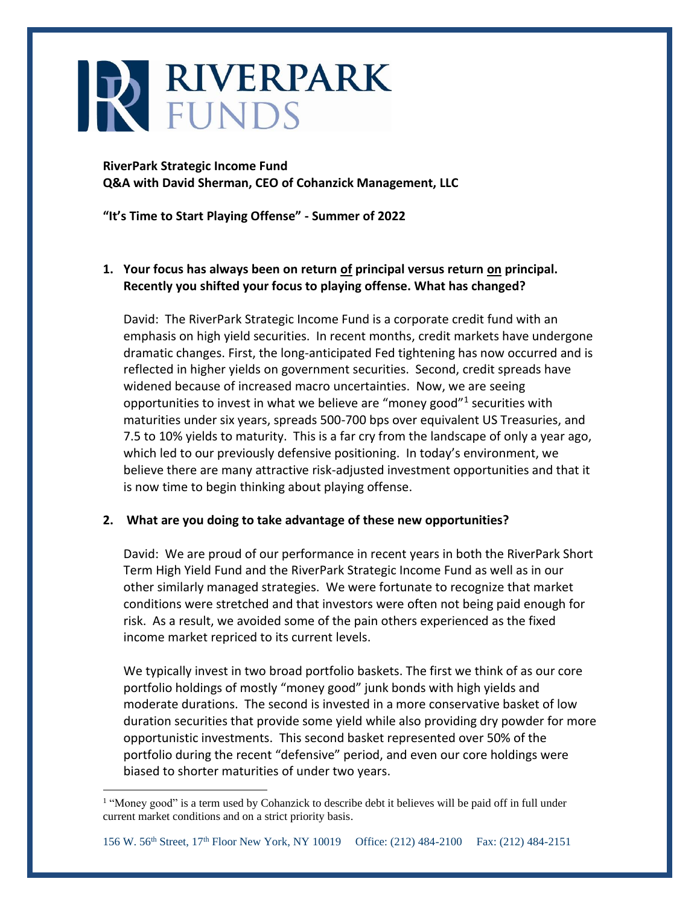# RIVERPARK **FUNDS**

**RiverPark Strategic Income Fund Q&A with David Sherman, CEO of Cohanzick Management, LLC**

**"It's Time to Start Playing Offense" - Summer of 2022**

## **1. Your focus has always been on return of principal versus return on principal. Recently you shifted your focus to playing offense. What has changed?**

David: The RiverPark Strategic Income Fund is a corporate credit fund with an emphasis on high yield securities. In recent months, credit markets have undergone dramatic changes. First, the long-anticipated Fed tightening has now occurred and is reflected in higher yields on government securities. Second, credit spreads have widened because of increased macro uncertainties. Now, we are seeing opportunities to invest in what we believe are "money good"<sup>1</sup> securities with maturities under six years, spreads 500-700 bps over equivalent US Treasuries, and 7.5 to 10% yields to maturity. This is a far cry from the landscape of only a year ago, which led to our previously defensive positioning. In today's environment, we believe there are many attractive risk-adjusted investment opportunities and that it is now time to begin thinking about playing offense.

## **2. What are you doing to take advantage of these new opportunities?**

David: We are proud of our performance in recent years in both the RiverPark Short Term High Yield Fund and the RiverPark Strategic Income Fund as well as in our other similarly managed strategies. We were fortunate to recognize that market conditions were stretched and that investors were often not being paid enough for risk. As a result, we avoided some of the pain others experienced as the fixed income market repriced to its current levels.

We typically invest in two broad portfolio baskets. The first we think of as our core portfolio holdings of mostly "money good" junk bonds with high yields and moderate durations. The second is invested in a more conservative basket of low duration securities that provide some yield while also providing dry powder for more opportunistic investments. This second basket represented over 50% of the portfolio during the recent "defensive" period, and even our core holdings were biased to shorter maturities of under two years.

<sup>&</sup>lt;sup>1</sup> "Money good" is a term used by Cohanzick to describe debt it believes will be paid off in full under current market conditions and on a strict priority basis.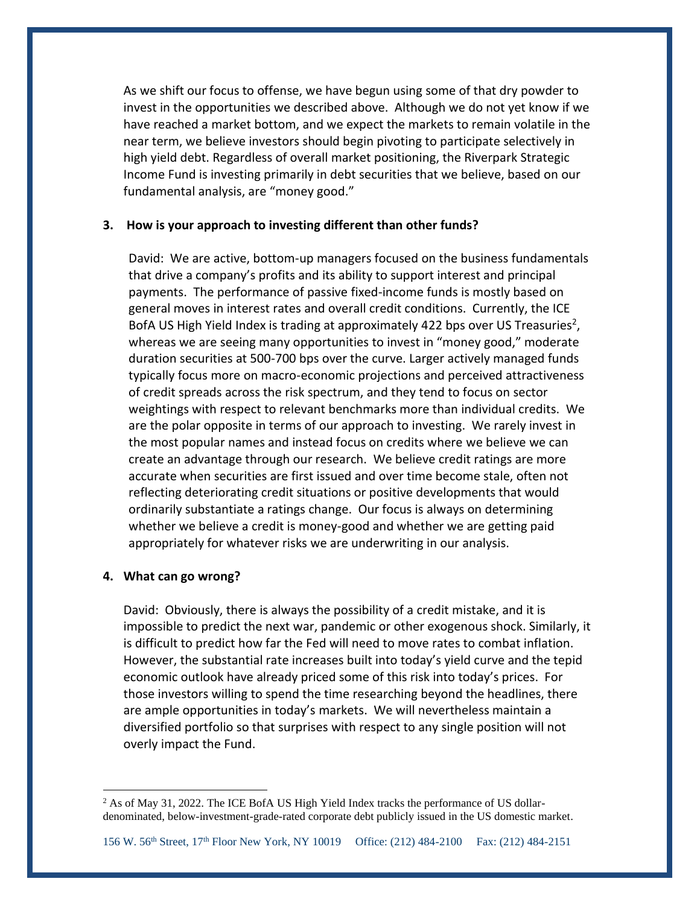As we shift our focus to offense, we have begun using some of that dry powder to invest in the opportunities we described above. Although we do not yet know if we have reached a market bottom, and we expect the markets to remain volatile in the near term, we believe investors should begin pivoting to participate selectively in high yield debt. Regardless of overall market positioning, the Riverpark Strategic Income Fund is investing primarily in debt securities that we believe, based on our fundamental analysis, are "money good."

### **3. How is your approach to investing different than other funds?**

David: We are active, bottom-up managers focused on the business fundamentals that drive a company's profits and its ability to support interest and principal payments. The performance of passive fixed-income funds is mostly based on general moves in interest rates and overall credit conditions. Currently, the ICE BofA US High Yield Index is trading at approximately 422 bps over US Treasuries<sup>2</sup>, whereas we are seeing many opportunities to invest in "money good," moderate duration securities at 500-700 bps over the curve. Larger actively managed funds typically focus more on macro-economic projections and perceived attractiveness of credit spreads across the risk spectrum, and they tend to focus on sector weightings with respect to relevant benchmarks more than individual credits. We are the polar opposite in terms of our approach to investing. We rarely invest in the most popular names and instead focus on credits where we believe we can create an advantage through our research. We believe credit ratings are more accurate when securities are first issued and over time become stale, often not reflecting deteriorating credit situations or positive developments that would ordinarily substantiate a ratings change. Our focus is always on determining whether we believe a credit is money-good and whether we are getting paid appropriately for whatever risks we are underwriting in our analysis.

#### **4. What can go wrong?**

David: Obviously, there is always the possibility of a credit mistake, and it is impossible to predict the next war, pandemic or other exogenous shock. Similarly, it is difficult to predict how far the Fed will need to move rates to combat inflation. However, the substantial rate increases built into today's yield curve and the tepid economic outlook have already priced some of this risk into today's prices. For those investors willing to spend the time researching beyond the headlines, there are ample opportunities in today's markets. We will nevertheless maintain a diversified portfolio so that surprises with respect to any single position will not overly impact the Fund.

 $2$  As of May 31, 2022. The ICE BofA US High Yield Index tracks the performance of US dollardenominated, below-investment-grade-rated corporate debt publicly issued in the US domestic market.